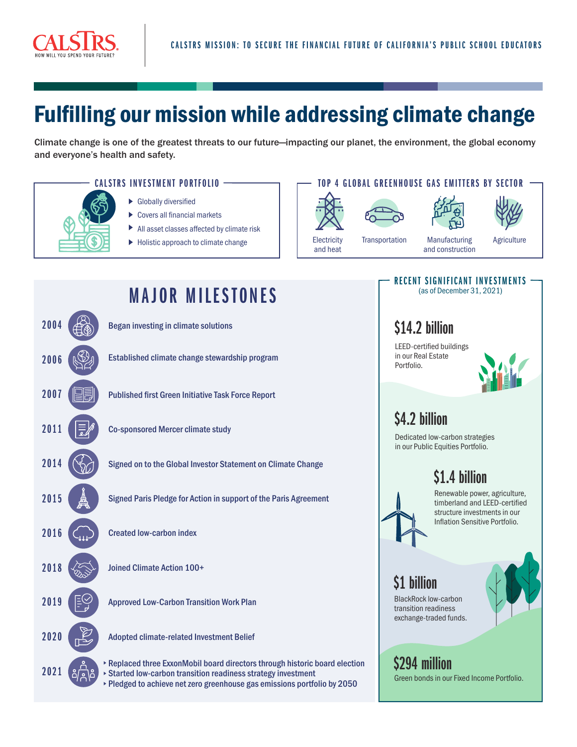

# Fulfilling our mission while addressing climate change

Climate change is one of the greatest threats to our future—impacting our planet, the environment, the global economy and everyone's health and safety.



- 
- ▶ Globally diversified
- ▶ Covers all financial markets
- All asset classes affected by climate risk
- Holistic approach to climate change

#### CALSTRS INVESTMENT PORTFOLIO TO P OP 4 GLOBAL GREENHOUSE GAS EMITTERS BY SECTOR









**Electricity** and heat

Manufacturing and construction Transportation Manufacturing Agriculture

## RECENT SIGNIFICANT INVESTMENTS (as of December 31, 2021) \$14.2 billion LEED-certified buildings

in our Real Estate Portfolio.



# \$4.2 billion

Dedicated low-carbon strategies in our Public Equities Portfolio.

# \$1.4 billion



Renewable power, agriculture, timberland and LEED-certified structure investments in our Inflation Sensitive Portfolio.

\$1 billion

BlackRock low-carbon transition readiness exchange-traded funds.



\$294 million Green bonds in our Fixed Income Portfolio.

# **MAJOR MILESTONES** 2004 ( $\mathcal{B}_{\infty}$ ) Began investing in climate solutions 2006 (S) Established climate change stewardship program 2007 Published first Green Initiative Task Force Report 2011 **Co-sponsored Mercer climate study** Signed on to the Global Investor Statement on Climate Change 2015  $\frac{4}{2}$  Signed Paris Pledge for Action in support of the Paris Agreement 2016 C<sub>ub</sub> Created low-carbon index 2018 **Joined Climate Action 100+** 2019  $\left|\frac{1}{2}\right|$  Approved Low-Carbon Transition Work Plan 2020 Adopted climate-related Investment Belief 2021 2014 Replaced three ExxonMobil board directors through historic board election Started low-carbon transition readiness strategy investment Pledged to achieve net zero greenhouse gas emissions portfolio by 2050